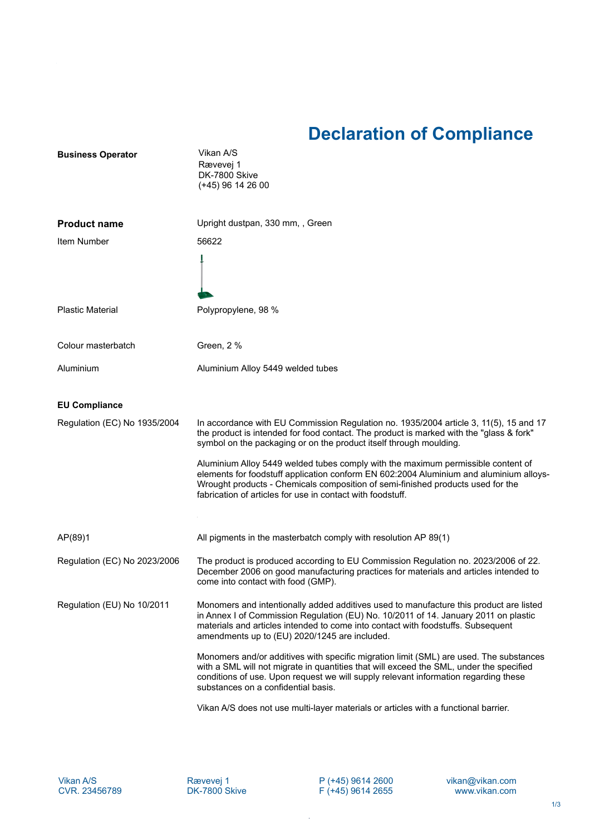## **Declaration of Compliance**

| <b>Business Operator</b>     | Vikan A/S<br>Rævevej 1<br>DK-7800 Skive<br>$(+45)$ 96 14 26 00                                                                                                                                                                                                                                                              |
|------------------------------|-----------------------------------------------------------------------------------------------------------------------------------------------------------------------------------------------------------------------------------------------------------------------------------------------------------------------------|
| <b>Product name</b>          | Upright dustpan, 330 mm,, Green                                                                                                                                                                                                                                                                                             |
| Item Number                  | 56622                                                                                                                                                                                                                                                                                                                       |
|                              |                                                                                                                                                                                                                                                                                                                             |
| <b>Plastic Material</b>      | Polypropylene, 98 %                                                                                                                                                                                                                                                                                                         |
| Colour masterbatch           | Green, 2 %                                                                                                                                                                                                                                                                                                                  |
| Aluminium                    | Aluminium Alloy 5449 welded tubes                                                                                                                                                                                                                                                                                           |
| <b>EU Compliance</b>         |                                                                                                                                                                                                                                                                                                                             |
| Regulation (EC) No 1935/2004 | In accordance with EU Commission Regulation no. 1935/2004 article 3, 11(5), 15 and 17<br>the product is intended for food contact. The product is marked with the "glass & fork"<br>symbol on the packaging or on the product itself through moulding.                                                                      |
|                              | Aluminium Alloy 5449 welded tubes comply with the maximum permissible content of<br>elements for foodstuff application conform EN 602:2004 Aluminium and aluminium alloys-<br>Wrought products - Chemicals composition of semi-finished products used for the<br>fabrication of articles for use in contact with foodstuff. |
| AP(89)1                      | All pigments in the masterbatch comply with resolution AP 89(1)                                                                                                                                                                                                                                                             |
| Regulation (EC) No 2023/2006 | The product is produced according to EU Commission Regulation no. 2023/2006 of 22.<br>December 2006 on good manufacturing practices for materials and articles intended to<br>come into contact with food (GMP).                                                                                                            |
| Regulation (EU) No 10/2011   | Monomers and intentionally added additives used to manufacture this product are listed<br>in Annex I of Commission Regulation (EU) No. 10/2011 of 14. January 2011 on plastic<br>materials and articles intended to come into contact with foodstuffs. Subsequent<br>amendments up to (EU) 2020/1245 are included.          |
|                              | Monomers and/or additives with specific migration limit (SML) are used. The substances<br>with a SML will not migrate in quantities that will exceed the SML, under the specified<br>conditions of use. Upon request we will supply relevant information regarding these<br>substances on a confidential basis.             |
|                              | Vikan A/S does not use multi-layer materials or articles with a functional barrier.                                                                                                                                                                                                                                         |

P (+45) 9614 2600 F (+45) 9614 2655

 $\bar{z}$ 

vikan@vikan.com www.vikan.com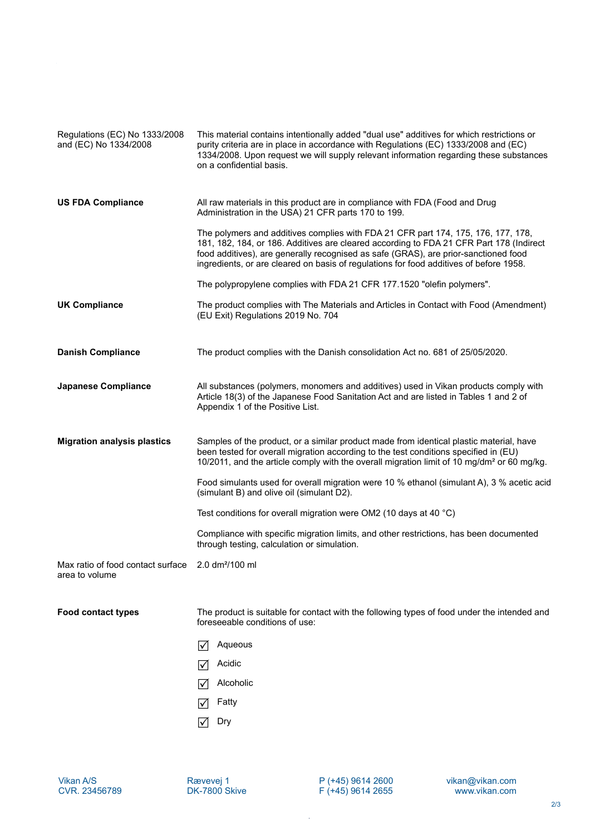| Regulations (EC) No 1333/2008<br>and (EC) No 1334/2008 | This material contains intentionally added "dual use" additives for which restrictions or<br>purity criteria are in place in accordance with Regulations (EC) 1333/2008 and (EC)<br>1334/2008. Upon request we will supply relevant information regarding these substances<br>on a confidential basis.                                                        |
|--------------------------------------------------------|---------------------------------------------------------------------------------------------------------------------------------------------------------------------------------------------------------------------------------------------------------------------------------------------------------------------------------------------------------------|
| <b>US FDA Compliance</b>                               | All raw materials in this product are in compliance with FDA (Food and Drug<br>Administration in the USA) 21 CFR parts 170 to 199.                                                                                                                                                                                                                            |
|                                                        | The polymers and additives complies with FDA 21 CFR part 174, 175, 176, 177, 178,<br>181, 182, 184, or 186. Additives are cleared according to FDA 21 CFR Part 178 (Indirect<br>food additives), are generally recognised as safe (GRAS), are prior-sanctioned food<br>ingredients, or are cleared on basis of regulations for food additives of before 1958. |
|                                                        | The polypropylene complies with FDA 21 CFR 177.1520 "olefin polymers".                                                                                                                                                                                                                                                                                        |
| <b>UK Compliance</b>                                   | The product complies with The Materials and Articles in Contact with Food (Amendment)<br>(EU Exit) Regulations 2019 No. 704                                                                                                                                                                                                                                   |
| <b>Danish Compliance</b>                               | The product complies with the Danish consolidation Act no. 681 of 25/05/2020.                                                                                                                                                                                                                                                                                 |
| Japanese Compliance                                    | All substances (polymers, monomers and additives) used in Vikan products comply with<br>Article 18(3) of the Japanese Food Sanitation Act and are listed in Tables 1 and 2 of<br>Appendix 1 of the Positive List.                                                                                                                                             |
| <b>Migration analysis plastics</b>                     | Samples of the product, or a similar product made from identical plastic material, have<br>been tested for overall migration according to the test conditions specified in (EU)<br>10/2011, and the article comply with the overall migration limit of 10 mg/dm <sup>2</sup> or 60 mg/kg.                                                                     |
|                                                        | Food simulants used for overall migration were 10 % ethanol (simulant A), 3 % acetic acid<br>(simulant B) and olive oil (simulant D2).                                                                                                                                                                                                                        |
|                                                        | Test conditions for overall migration were OM2 (10 days at 40 $^{\circ}$ C)                                                                                                                                                                                                                                                                                   |
|                                                        | Compliance with specific migration limits, and other restrictions, has been documented<br>through testing, calculation or simulation.                                                                                                                                                                                                                         |
| Max ratio of food contact surface<br>area to volume    | $2.0 \text{ dm}^2/100 \text{ ml}$                                                                                                                                                                                                                                                                                                                             |
| <b>Food contact types</b>                              | The product is suitable for contact with the following types of food under the intended and<br>foreseeable conditions of use:                                                                                                                                                                                                                                 |
|                                                        | Aqueous<br>I√                                                                                                                                                                                                                                                                                                                                                 |
|                                                        | Acidic                                                                                                                                                                                                                                                                                                                                                        |
|                                                        | Alcoholic<br>I√                                                                                                                                                                                                                                                                                                                                               |
|                                                        | Fatty                                                                                                                                                                                                                                                                                                                                                         |
|                                                        | Dry<br>I√l                                                                                                                                                                                                                                                                                                                                                    |

 $\bar{\beta}$